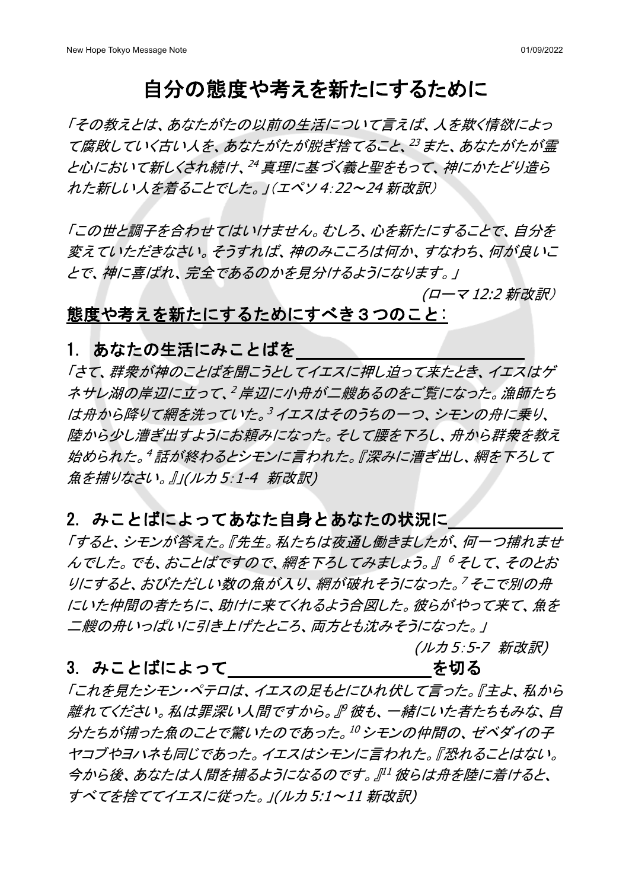# 自分の態度や考えを新たにするために

「その教えとは、あなたがたの以前の生活について言えば、人を欺く情欲によっ て腐敗していく古い人を、あなたがたが脱ぎ捨てること、<sup>23</sup> また、あなたがたが霊 と心において新しくされ続け、<sup>24</sup> 真理に基づく義と聖をもって、神にかたどり造ら れた新しい人を着ることでした。」(エペソ 4:22~24 新改訳)

「この世と調子を合わせてはいけません。むしろ、心を新たにすることで、自分を 変えていただきなさい。そうすれば、神のみこころは何か、すなわち、何が良いこ とで、神に喜ばれ、完全であるのかを見分けるようになります。」

(ローマ 12:2 新改訳)

## 態度や考えを新たにするためにすべき3つのこと:

1. あなたの生活にみことばを

「さて、群衆が神のことばを聞こうとしてイエスに押し迫って来たとき、イエスはゲ ネサレ湖の岸辺に立って、<sup>2</sup> 岸辺に小舟が二艘あるのをご覧になった。漁師たち は舟から降りて網を洗っていた。<sup>3</sup> イエスはそのうちの一つ、シモンの舟に乗り、 陸から少し漕ぎ出すようにお頼みになった。そして腰を下ろし、舟から群衆を教え 始められた。<sup>4</sup> 話が終わるとシモンに言われた。『深みに漕ぎ出し、網を下ろして 魚を捕りなさい。』」(ルカ5:1-4 新改訳)

### 2. みことばによってあなた自身とあなたの状況に

「すると、シモンが答えた。『先生。私たちは夜通し働きましたが、何一つ捕れませ んでした。でも、おことばですので、網を下ろしてみましょう。』 <sup>6</sup> そして、そのとお りにすると、おびただしい数の魚が入り、網が破れそうになった。<sup>7</sup>そこで別の舟 にいた仲間の者たちに、助けに来てくれるよう合図した。彼らがやって来て、魚を 二艘の舟いっぱいに引き上げたところ、両方とも沈みそうになった。」

(ルカ 5:5-7 新改訳)

### 3. みことばによって そんちゃく しゅうしゃ を切る

「これを見たシモン・ペテロは、イエスの足もとにひれ伏して言った。『主よ、私から 離れてください。私は罪深い人間ですから。』<sup>9</sup> 彼も、一緒にいた者たちもみな、自 分たちが捕った魚のことで驚いたのであった。<sup>10</sup> シモンの仲間の、ゼベダイの子 ヤコブやヨハネも同じであった。イエスはシモンに言われた。『恐れることはない。 今から後、あなたは人間を捕るようになるのです。』<sup>11</sup> 彼らは舟を陸に着けると、 すべてを捨ててイエスに従った。」(ルカ 5:1~11 新改訳)